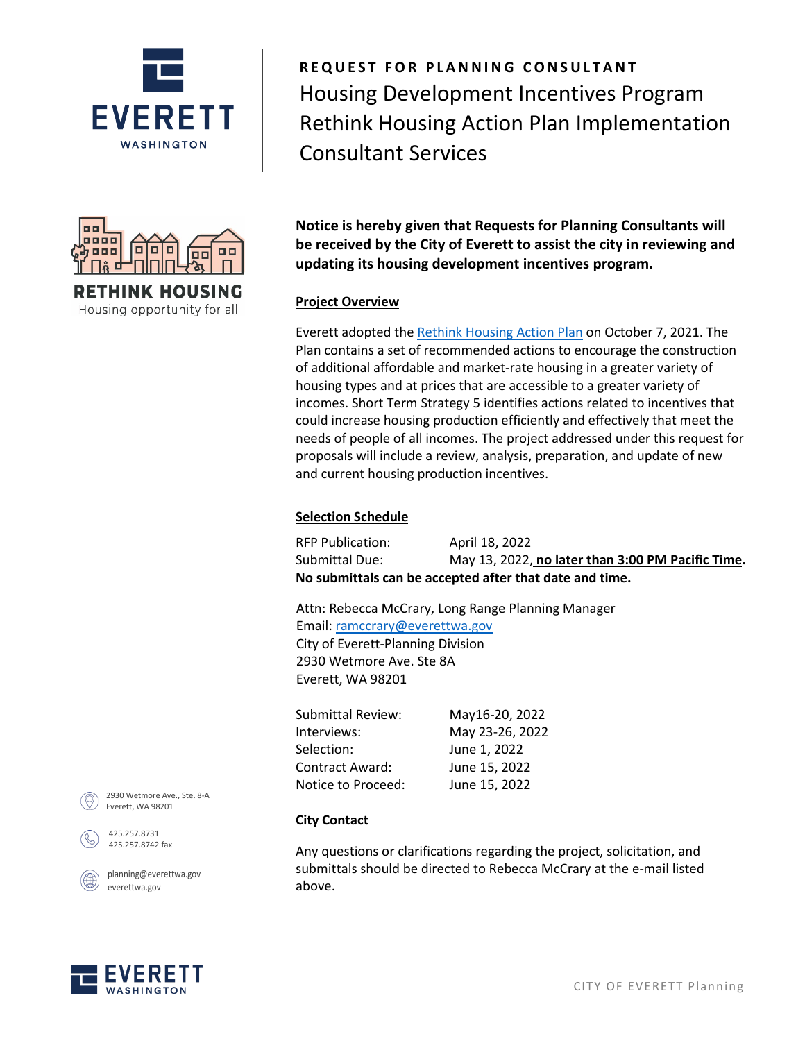



**REQUEST FOR PLANNING CONSULTANT** Housing Development Incentives Program Rethink Housing Action Plan Implementation Consultant Services

**Notice is hereby given that Requests for Planning Consultants will be received by the City of Everett to assist the city in reviewing and updating its housing development incentives program.** 

#### **Project Overview**

Everett adopted th[e Rethink Housing Action Plan](https://www.everettwa.gov/2536/Rethink-Housing) on October 7, 2021. The Plan contains a set of recommended actions to encourage the construction of additional affordable and market-rate housing in a greater variety of housing types and at prices that are accessible to a greater variety of incomes. Short Term Strategy 5 identifies actions related to incentives that could increase housing production efficiently and effectively that meet the needs of people of all incomes. The project addressed under this request for proposals will include a review, analysis, preparation, and update of new and current housing production incentives.

#### **Selection Schedule**

RFP Publication: April 18, 2022 Submittal Due: May 13, 2022, **no later than 3:00 PM Pacific Time. No submittals can be accepted after that date and time.**

Attn: Rebecca McCrary, Long Range Planning Manager Email: [ramccrary@everettwa.gov](mailto:ramccrary@everettwa.gov) City of Everett-Planning Division 2930 Wetmore Ave. Ste 8A Everett, WA 98201

Submittal Review: May16-20, 2022 Interviews: May 23-26, 2022 Selection: June 1, 2022 Contract Award: June 15, 2022 Notice to Proceed: June 15, 2022

#### **City Contact**

Any questions or clarifications regarding the project, solicitation, and submittals should be directed to Rebecca McCrary at the e-mail listed above.



425.257.8731 425.257.8742 fax

planning@everettwa.gov everettwa.gov

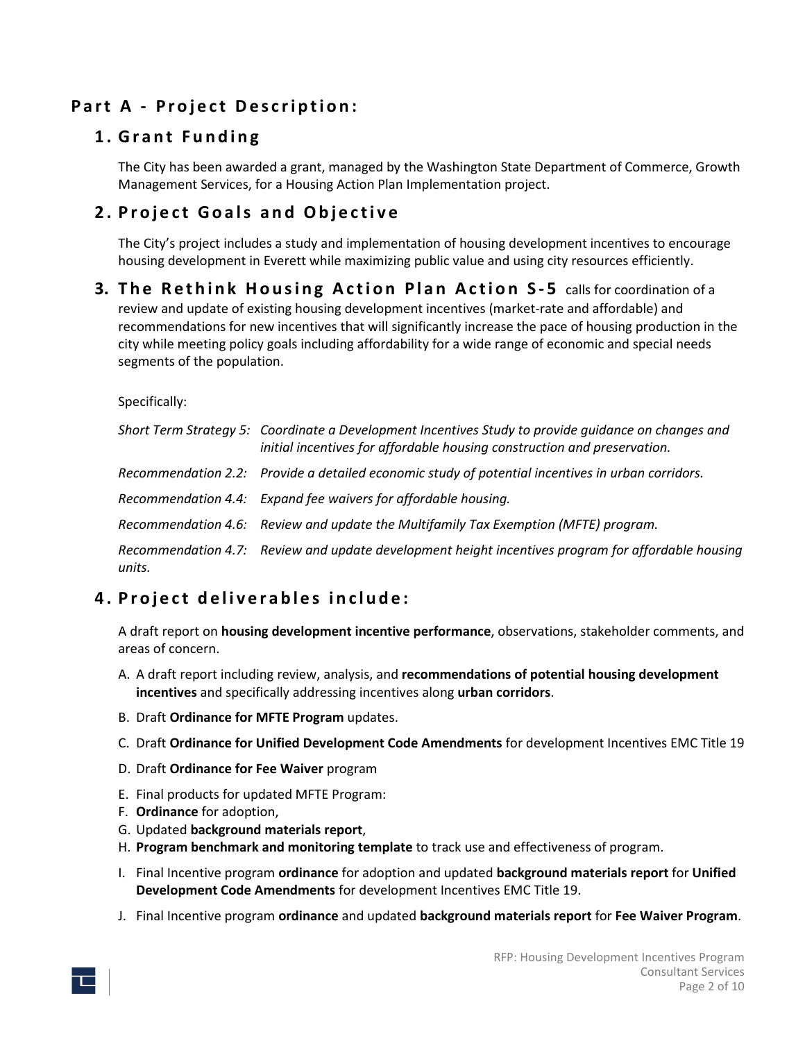## **Part A - Pro ject Description:**

### **1 . Grant Funding**

The City has been awarded a grant, managed by the Washington State Department of Commerce, Growth Management Services, for a Housing Action Plan Implementation project.

### **2 . Project Goals and Objective**

The City's project includes a study and implementation of housing development incentives to encourage housing development in Everett while maximizing public value and using city resources efficiently.

**3. The Rethink Housing Action Plan Action S-5** calls for coordination of a review and update of existing housing development incentives (market-rate and affordable) and recommendations for new incentives that will significantly increase the pace of housing production in the city while meeting policy goals including affordability for a wide range of economic and special needs segments of the population.

#### Specifically:

|        | Short Term Strategy 5: Coordinate a Development Incentives Study to provide quidance on changes and<br>initial incentives for affordable housing construction and preservation. |
|--------|---------------------------------------------------------------------------------------------------------------------------------------------------------------------------------|
|        | Recommendation 2.2: Provide a detailed economic study of potential incentives in urban corridors.                                                                               |
|        | Recommendation 4.4: Expand fee waivers for affordable housing.                                                                                                                  |
|        | Recommendation 4.6: Review and update the Multifamily Tax Exemption (MFTE) program.                                                                                             |
| units. | Recommendation 4.7: Review and update development height incentives program for affordable housing                                                                              |

### **4 . Project deliverables include:**

A draft report on **housing development incentive performance**, observations, stakeholder comments, and areas of concern.

- A. A draft report including review, analysis, and **recommendations of potential housing development incentives** and specifically addressing incentives along **urban corridors**.
- B. Draft **Ordinance for MFTE Program** updates.
- C. Draft **Ordinance for Unified Development Code Amendments** for development Incentives EMC Title 19
- D. Draft **Ordinance for Fee Waiver** program
- E. Final products for updated MFTE Program:
- F. **Ordinance** for adoption,
- G. Updated **background materials report**,
- H. **Program benchmark and monitoring template** to track use and effectiveness of program.
- I. Final Incentive program **ordinance** for adoption and updated **background materials report** for **Unified Development Code Amendments** for development Incentives EMC Title 19.
- J. Final Incentive program **ordinance** and updated **background materials report** for **Fee Waiver Program**.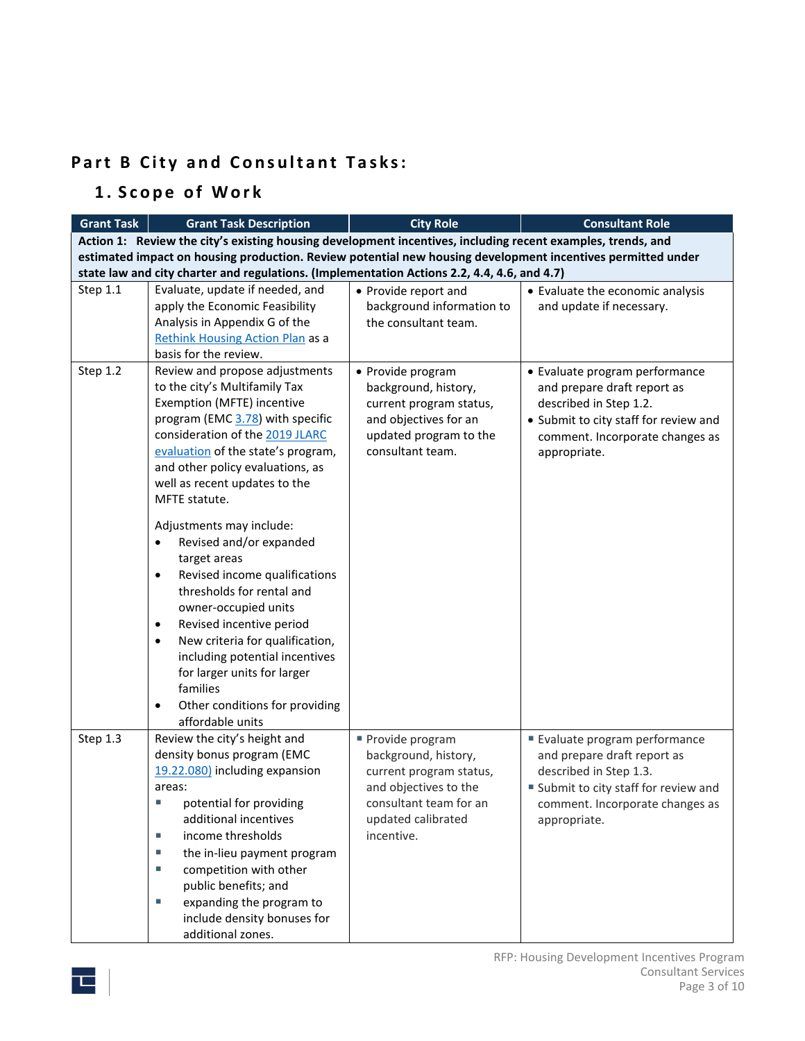# **Part B City and Consultant Tasks:**

# **1 . Scope of Work**

| <b>Grant Task</b> | <b>Grant Task Description</b>                                                                                                                                                                                                                                                                                                                                                                                                                                                                                                                                                                                                                                                                                            | <b>City Role</b>                                                                                                                                          | <b>Consultant Role</b>                                                                                                                                                              |
|-------------------|--------------------------------------------------------------------------------------------------------------------------------------------------------------------------------------------------------------------------------------------------------------------------------------------------------------------------------------------------------------------------------------------------------------------------------------------------------------------------------------------------------------------------------------------------------------------------------------------------------------------------------------------------------------------------------------------------------------------------|-----------------------------------------------------------------------------------------------------------------------------------------------------------|-------------------------------------------------------------------------------------------------------------------------------------------------------------------------------------|
|                   | Action 1: Review the city's existing housing development incentives, including recent examples, trends, and                                                                                                                                                                                                                                                                                                                                                                                                                                                                                                                                                                                                              |                                                                                                                                                           |                                                                                                                                                                                     |
|                   | estimated impact on housing production. Review potential new housing development incentives permitted under                                                                                                                                                                                                                                                                                                                                                                                                                                                                                                                                                                                                              |                                                                                                                                                           |                                                                                                                                                                                     |
|                   | state law and city charter and regulations. (Implementation Actions 2.2, 4.4, 4.6, and 4.7)                                                                                                                                                                                                                                                                                                                                                                                                                                                                                                                                                                                                                              |                                                                                                                                                           |                                                                                                                                                                                     |
| Step 1.1          | Evaluate, update if needed, and<br>apply the Economic Feasibility<br>Analysis in Appendix G of the<br>Rethink Housing Action Plan as a<br>basis for the review.                                                                                                                                                                                                                                                                                                                                                                                                                                                                                                                                                          | • Provide report and<br>background information to<br>the consultant team.                                                                                 | • Evaluate the economic analysis<br>and update if necessary.                                                                                                                        |
| Step 1.2          | Review and propose adjustments<br>to the city's Multifamily Tax<br>Exemption (MFTE) incentive<br>program (EMC 3.78) with specific<br>consideration of the 2019 JLARC<br>evaluation of the state's program,<br>and other policy evaluations, as<br>well as recent updates to the<br>MFTE statute.<br>Adjustments may include:<br>Revised and/or expanded<br>$\bullet$<br>target areas<br>Revised income qualifications<br>$\bullet$<br>thresholds for rental and<br>owner-occupied units<br>Revised incentive period<br>٠<br>New criteria for qualification,<br>$\bullet$<br>including potential incentives<br>for larger units for larger<br>families<br>Other conditions for providing<br>$\bullet$<br>affordable units | • Provide program<br>background, history,<br>current program status,<br>and objectives for an<br>updated program to the<br>consultant team.               | • Evaluate program performance<br>and prepare draft report as<br>described in Step 1.2.<br>• Submit to city staff for review and<br>comment. Incorporate changes as<br>appropriate. |
| Step 1.3          | Review the city's height and<br>density bonus program (EMC<br>19.22.080) including expansion<br>areas:<br>potential for providing<br>additional incentives<br>income thresholds<br>u.<br>the in-lieu payment program<br>ш<br>competition with other<br>u.<br>public benefits; and<br>expanding the program to<br>u.<br>include density bonuses for<br>additional zones.                                                                                                                                                                                                                                                                                                                                                  | Provide program<br>background, history,<br>current program status,<br>and objectives to the<br>consultant team for an<br>updated calibrated<br>incentive. | ■ Evaluate program performance<br>and prepare draft report as<br>described in Step 1.3.<br>■ Submit to city staff for review and<br>comment. Incorporate changes as<br>appropriate. |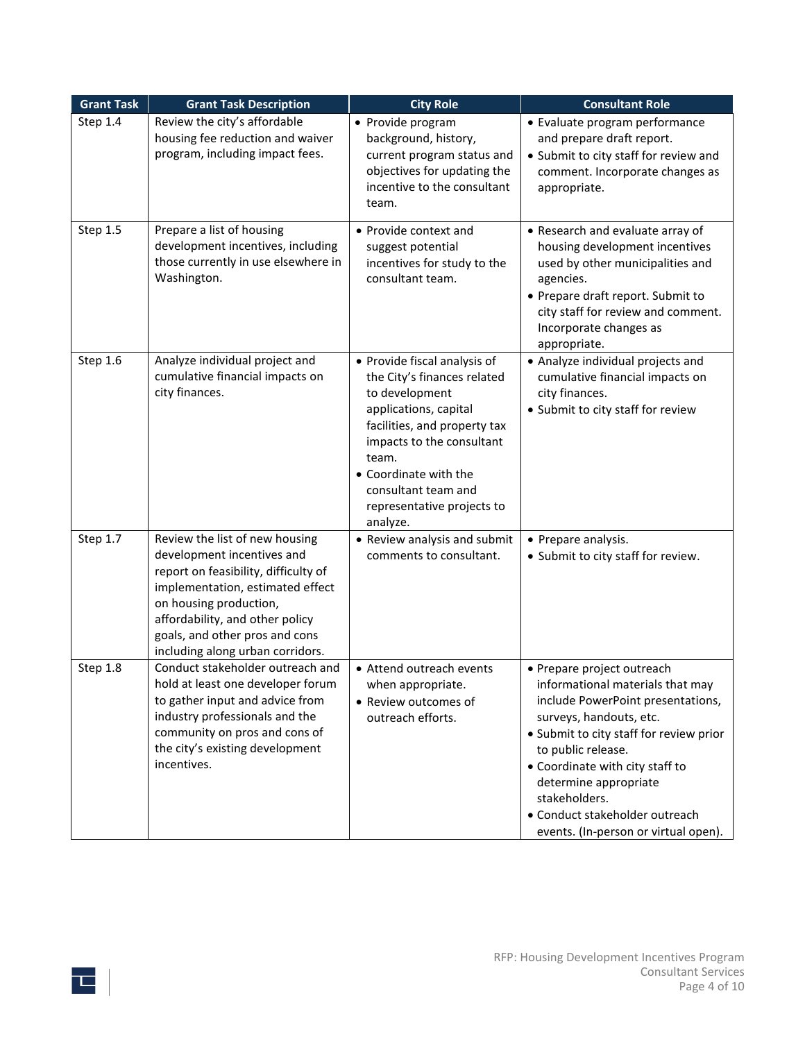| <b>Grant Task</b> | <b>Grant Task Description</b>                                                                                                                                                                                                                                               | <b>City Role</b>                                                                                                                                                                                                                                                       | <b>Consultant Role</b>                                                                                                                                                                                                                                                                                                                                 |
|-------------------|-----------------------------------------------------------------------------------------------------------------------------------------------------------------------------------------------------------------------------------------------------------------------------|------------------------------------------------------------------------------------------------------------------------------------------------------------------------------------------------------------------------------------------------------------------------|--------------------------------------------------------------------------------------------------------------------------------------------------------------------------------------------------------------------------------------------------------------------------------------------------------------------------------------------------------|
| Step 1.4          | Review the city's affordable                                                                                                                                                                                                                                                | • Provide program                                                                                                                                                                                                                                                      | • Evaluate program performance                                                                                                                                                                                                                                                                                                                         |
|                   | housing fee reduction and waiver<br>program, including impact fees.                                                                                                                                                                                                         | background, history,<br>current program status and<br>objectives for updating the<br>incentive to the consultant<br>team.                                                                                                                                              | and prepare draft report.<br>• Submit to city staff for review and<br>comment. Incorporate changes as<br>appropriate.                                                                                                                                                                                                                                  |
| Step 1.5          | Prepare a list of housing<br>development incentives, including<br>those currently in use elsewhere in<br>Washington.                                                                                                                                                        | • Provide context and<br>suggest potential<br>incentives for study to the<br>consultant team.                                                                                                                                                                          | • Research and evaluate array of<br>housing development incentives<br>used by other municipalities and<br>agencies.<br>• Prepare draft report. Submit to<br>city staff for review and comment.<br>Incorporate changes as<br>appropriate.                                                                                                               |
| Step 1.6          | Analyze individual project and<br>cumulative financial impacts on<br>city finances.                                                                                                                                                                                         | • Provide fiscal analysis of<br>the City's finances related<br>to development<br>applications, capital<br>facilities, and property tax<br>impacts to the consultant<br>team.<br>• Coordinate with the<br>consultant team and<br>representative projects to<br>analyze. | • Analyze individual projects and<br>cumulative financial impacts on<br>city finances.<br>• Submit to city staff for review                                                                                                                                                                                                                            |
| Step 1.7          | Review the list of new housing<br>development incentives and<br>report on feasibility, difficulty of<br>implementation, estimated effect<br>on housing production,<br>affordability, and other policy<br>goals, and other pros and cons<br>including along urban corridors. | • Review analysis and submit<br>comments to consultant.                                                                                                                                                                                                                | • Prepare analysis.<br>• Submit to city staff for review.                                                                                                                                                                                                                                                                                              |
| Step 1.8          | Conduct stakeholder outreach and<br>hold at least one developer forum<br>to gather input and advice from<br>industry professionals and the<br>community on pros and cons of<br>the city's existing development<br>incentives.                                               | • Attend outreach events<br>when appropriate.<br>• Review outcomes of<br>outreach efforts.                                                                                                                                                                             | • Prepare project outreach<br>informational materials that may<br>include PowerPoint presentations,<br>surveys, handouts, etc.<br>• Submit to city staff for review prior<br>to public release.<br>• Coordinate with city staff to<br>determine appropriate<br>stakeholders.<br>• Conduct stakeholder outreach<br>events. (In-person or virtual open). |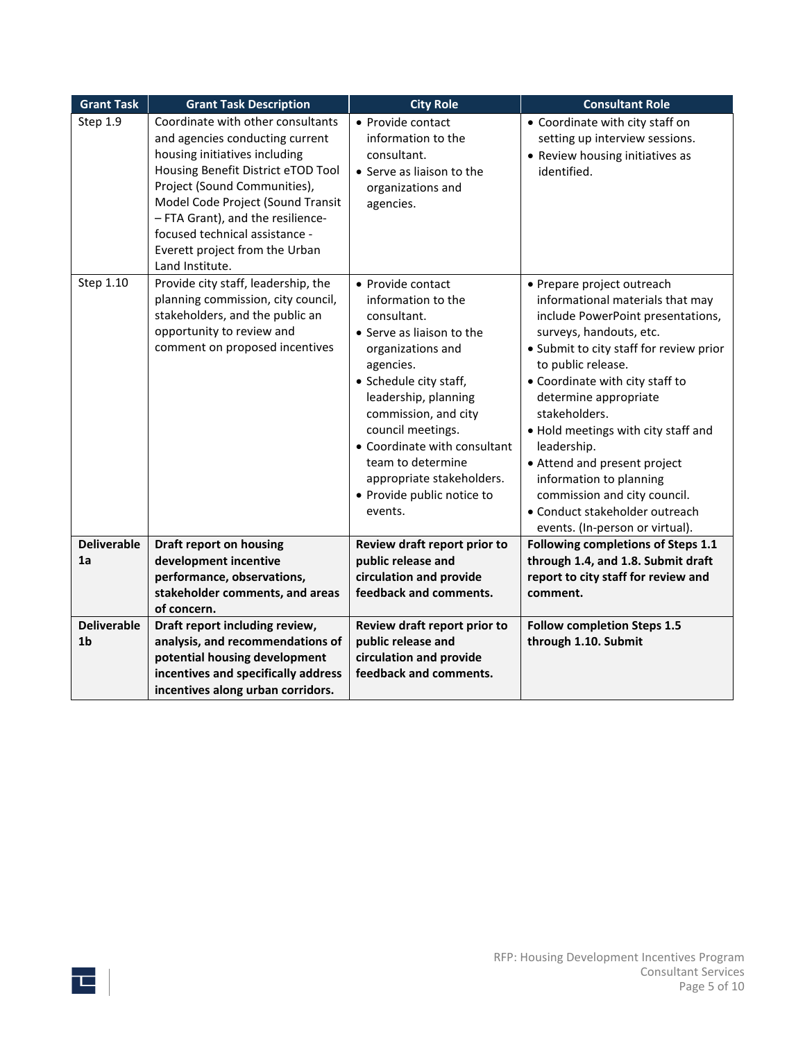| <b>Grant Task</b>  | <b>Grant Task Description</b>                                                                                                                                                                                                                                                                                                                | <b>City Role</b>                                                                                                                                                                                                                                                                                                                                | <b>Consultant Role</b>                                                                                                                                                                                                                                                                                                                                                                                                                                                                             |
|--------------------|----------------------------------------------------------------------------------------------------------------------------------------------------------------------------------------------------------------------------------------------------------------------------------------------------------------------------------------------|-------------------------------------------------------------------------------------------------------------------------------------------------------------------------------------------------------------------------------------------------------------------------------------------------------------------------------------------------|----------------------------------------------------------------------------------------------------------------------------------------------------------------------------------------------------------------------------------------------------------------------------------------------------------------------------------------------------------------------------------------------------------------------------------------------------------------------------------------------------|
| Step 1.9           | Coordinate with other consultants<br>and agencies conducting current<br>housing initiatives including<br>Housing Benefit District eTOD Tool<br>Project (Sound Communities),<br>Model Code Project (Sound Transit<br>- FTA Grant), and the resilience-<br>focused technical assistance -<br>Everett project from the Urban<br>Land Institute. | • Provide contact<br>information to the<br>consultant.<br>• Serve as liaison to the<br>organizations and<br>agencies.                                                                                                                                                                                                                           | • Coordinate with city staff on<br>setting up interview sessions.<br>• Review housing initiatives as<br>identified.                                                                                                                                                                                                                                                                                                                                                                                |
| Step 1.10          | Provide city staff, leadership, the<br>planning commission, city council,<br>stakeholders, and the public an<br>opportunity to review and<br>comment on proposed incentives                                                                                                                                                                  | • Provide contact<br>information to the<br>consultant.<br>• Serve as liaison to the<br>organizations and<br>agencies.<br>• Schedule city staff,<br>leadership, planning<br>commission, and city<br>council meetings.<br>• Coordinate with consultant<br>team to determine<br>appropriate stakeholders.<br>• Provide public notice to<br>events. | • Prepare project outreach<br>informational materials that may<br>include PowerPoint presentations,<br>surveys, handouts, etc.<br>• Submit to city staff for review prior<br>to public release.<br>• Coordinate with city staff to<br>determine appropriate<br>stakeholders.<br>. Hold meetings with city staff and<br>leadership.<br>• Attend and present project<br>information to planning<br>commission and city council.<br>• Conduct stakeholder outreach<br>events. (In-person or virtual). |
| <b>Deliverable</b> | Draft report on housing                                                                                                                                                                                                                                                                                                                      | Review draft report prior to                                                                                                                                                                                                                                                                                                                    | Following completions of Steps 1.1                                                                                                                                                                                                                                                                                                                                                                                                                                                                 |
| 1a                 | development incentive                                                                                                                                                                                                                                                                                                                        | public release and                                                                                                                                                                                                                                                                                                                              | through 1.4, and 1.8. Submit draft                                                                                                                                                                                                                                                                                                                                                                                                                                                                 |
|                    | performance, observations,<br>stakeholder comments, and areas                                                                                                                                                                                                                                                                                | circulation and provide<br>feedback and comments.                                                                                                                                                                                                                                                                                               | report to city staff for review and<br>comment.                                                                                                                                                                                                                                                                                                                                                                                                                                                    |
|                    | of concern.                                                                                                                                                                                                                                                                                                                                  |                                                                                                                                                                                                                                                                                                                                                 |                                                                                                                                                                                                                                                                                                                                                                                                                                                                                                    |
| <b>Deliverable</b> | Draft report including review,                                                                                                                                                                                                                                                                                                               | Review draft report prior to                                                                                                                                                                                                                                                                                                                    | <b>Follow completion Steps 1.5</b>                                                                                                                                                                                                                                                                                                                                                                                                                                                                 |
| 1 <sub>b</sub>     | analysis, and recommendations of                                                                                                                                                                                                                                                                                                             | public release and                                                                                                                                                                                                                                                                                                                              | through 1.10. Submit                                                                                                                                                                                                                                                                                                                                                                                                                                                                               |
|                    | potential housing development                                                                                                                                                                                                                                                                                                                | circulation and provide                                                                                                                                                                                                                                                                                                                         |                                                                                                                                                                                                                                                                                                                                                                                                                                                                                                    |
|                    | incentives and specifically address<br>incentives along urban corridors.                                                                                                                                                                                                                                                                     | feedback and comments.                                                                                                                                                                                                                                                                                                                          |                                                                                                                                                                                                                                                                                                                                                                                                                                                                                                    |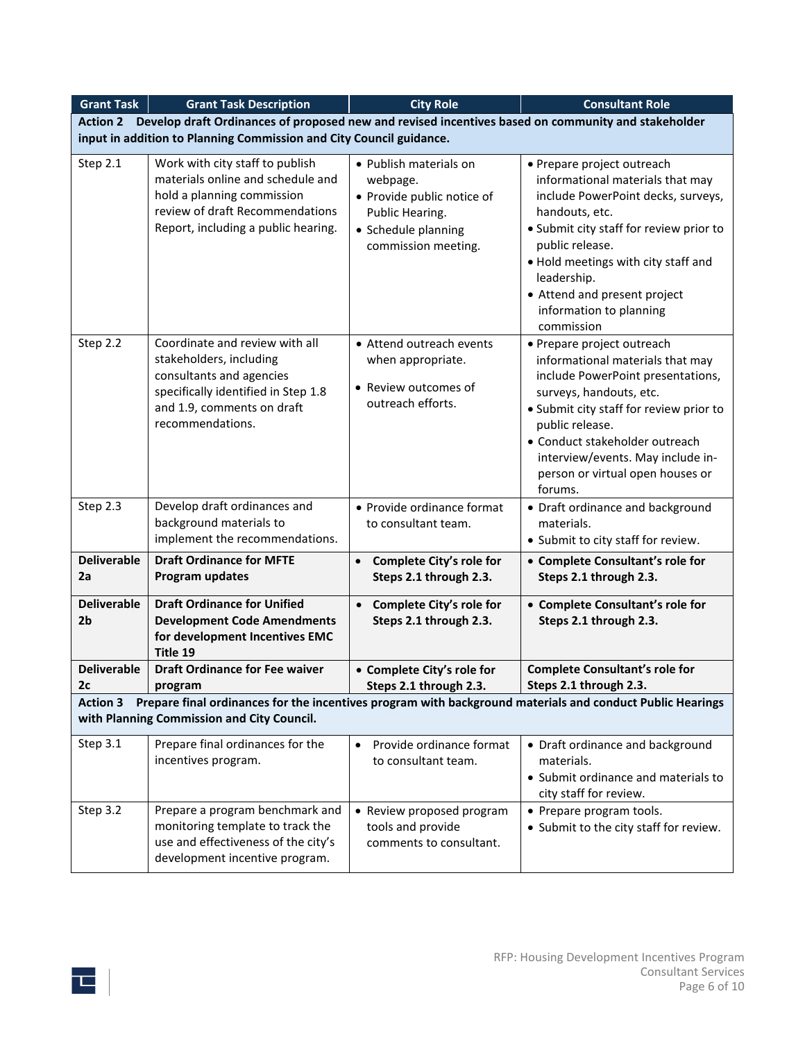| <b>Grant Task</b>                                                                                                                                                          | <b>Grant Task Description</b>                                                                                                                                                  | <b>City Role</b>                                                                                                                  | <b>Consultant Role</b>                                                                                                                                                                                                                                                                                              |
|----------------------------------------------------------------------------------------------------------------------------------------------------------------------------|--------------------------------------------------------------------------------------------------------------------------------------------------------------------------------|-----------------------------------------------------------------------------------------------------------------------------------|---------------------------------------------------------------------------------------------------------------------------------------------------------------------------------------------------------------------------------------------------------------------------------------------------------------------|
| <b>Action 2</b>                                                                                                                                                            | Develop draft Ordinances of proposed new and revised incentives based on community and stakeholder                                                                             |                                                                                                                                   |                                                                                                                                                                                                                                                                                                                     |
|                                                                                                                                                                            | input in addition to Planning Commission and City Council guidance.                                                                                                            |                                                                                                                                   |                                                                                                                                                                                                                                                                                                                     |
| Step 2.1                                                                                                                                                                   | Work with city staff to publish<br>materials online and schedule and<br>hold a planning commission<br>review of draft Recommendations<br>Report, including a public hearing.   | • Publish materials on<br>webpage.<br>• Provide public notice of<br>Public Hearing.<br>• Schedule planning<br>commission meeting. | • Prepare project outreach<br>informational materials that may<br>include PowerPoint decks, surveys,<br>handouts, etc.<br>• Submit city staff for review prior to<br>public release.<br>. Hold meetings with city staff and<br>leadership.<br>• Attend and present project<br>information to planning<br>commission |
| Step 2.2                                                                                                                                                                   | Coordinate and review with all<br>stakeholders, including<br>consultants and agencies<br>specifically identified in Step 1.8<br>and 1.9, comments on draft<br>recommendations. | • Attend outreach events<br>when appropriate.<br>• Review outcomes of<br>outreach efforts.                                        | • Prepare project outreach<br>informational materials that may<br>include PowerPoint presentations,<br>surveys, handouts, etc.<br>• Submit city staff for review prior to<br>public release.<br>• Conduct stakeholder outreach<br>interview/events. May include in-<br>person or virtual open houses or<br>forums.  |
| Step 2.3                                                                                                                                                                   | Develop draft ordinances and<br>background materials to<br>implement the recommendations.                                                                                      | • Provide ordinance format<br>to consultant team.                                                                                 | • Draft ordinance and background<br>materials.<br>• Submit to city staff for review.                                                                                                                                                                                                                                |
| <b>Deliverable</b><br>2a                                                                                                                                                   | <b>Draft Ordinance for MFTE</b><br><b>Program updates</b>                                                                                                                      | Complete City's role for<br>$\bullet$<br>Steps 2.1 through 2.3.                                                                   | • Complete Consultant's role for<br>Steps 2.1 through 2.3.                                                                                                                                                                                                                                                          |
| <b>Deliverable</b><br>2b                                                                                                                                                   | <b>Draft Ordinance for Unified</b><br><b>Development Code Amendments</b><br>for development Incentives EMC<br>Title 19                                                         | <b>Complete City's role for</b><br>$\bullet$<br>Steps 2.1 through 2.3.                                                            | • Complete Consultant's role for<br>Steps 2.1 through 2.3.                                                                                                                                                                                                                                                          |
| <b>Deliverable</b>                                                                                                                                                         | <b>Draft Ordinance for Fee waiver</b>                                                                                                                                          | • Complete City's role for                                                                                                        | <b>Complete Consultant's role for</b>                                                                                                                                                                                                                                                                               |
| 2c                                                                                                                                                                         | program                                                                                                                                                                        | Steps 2.1 through 2.3.                                                                                                            | Steps 2.1 through 2.3.                                                                                                                                                                                                                                                                                              |
| Prepare final ordinances for the incentives program with background materials and conduct Public Hearings<br><b>Action 3</b><br>with Planning Commission and City Council. |                                                                                                                                                                                |                                                                                                                                   |                                                                                                                                                                                                                                                                                                                     |
| Step 3.1                                                                                                                                                                   | Prepare final ordinances for the<br>incentives program.                                                                                                                        | Provide ordinance format<br>$\bullet$<br>to consultant team.                                                                      | • Draft ordinance and background<br>materials.<br>• Submit ordinance and materials to<br>city staff for review.                                                                                                                                                                                                     |
| Step 3.2                                                                                                                                                                   | Prepare a program benchmark and<br>monitoring template to track the<br>use and effectiveness of the city's<br>development incentive program.                                   | • Review proposed program<br>tools and provide<br>comments to consultant.                                                         | • Prepare program tools.<br>• Submit to the city staff for review.                                                                                                                                                                                                                                                  |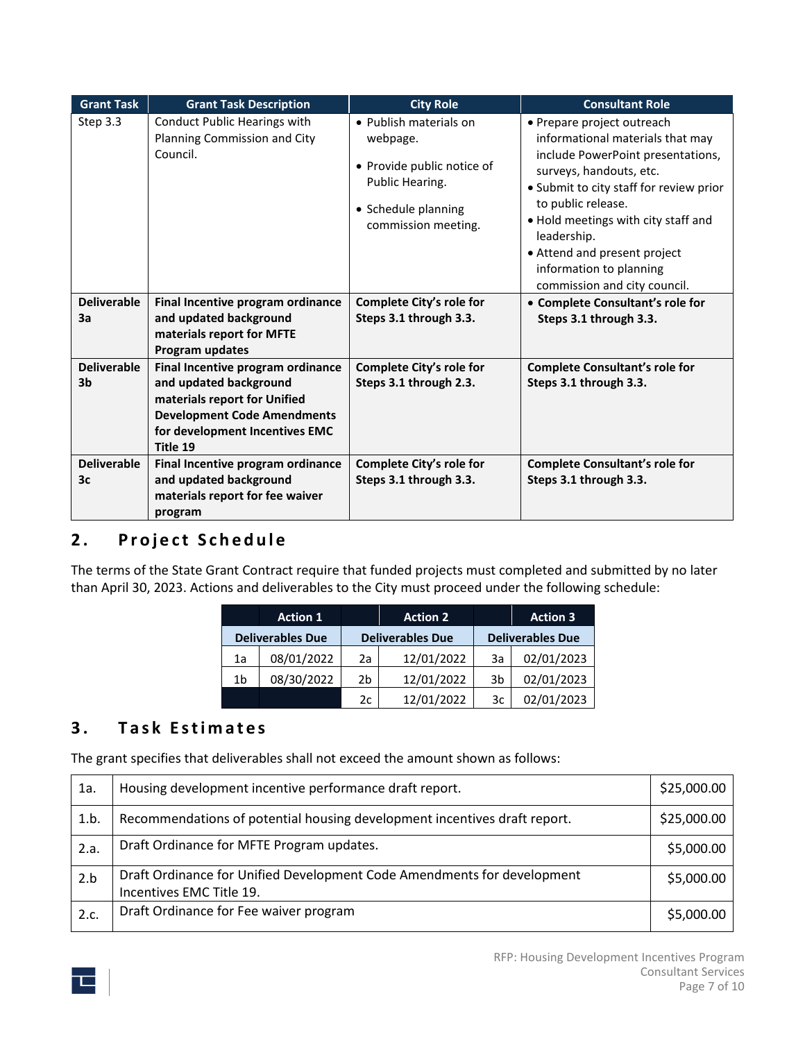| <b>Grant Task</b>        | <b>Grant Task Description</b>                                                                                                              | <b>City Role</b>                                                                                                                  | <b>Consultant Role</b>                                                                                                                                                                                                                                                                                                                           |
|--------------------------|--------------------------------------------------------------------------------------------------------------------------------------------|-----------------------------------------------------------------------------------------------------------------------------------|--------------------------------------------------------------------------------------------------------------------------------------------------------------------------------------------------------------------------------------------------------------------------------------------------------------------------------------------------|
| Step 3.3                 | <b>Conduct Public Hearings with</b><br>Planning Commission and City<br>Council.                                                            | • Publish materials on<br>webpage.<br>• Provide public notice of<br>Public Hearing.<br>• Schedule planning<br>commission meeting. | • Prepare project outreach<br>informational materials that may<br>include PowerPoint presentations,<br>surveys, handouts, etc.<br>• Submit to city staff for review prior<br>to public release.<br>. Hold meetings with city staff and<br>leadership.<br>• Attend and present project<br>information to planning<br>commission and city council. |
| <b>Deliverable</b><br>3a | Final Incentive program ordinance<br>and updated background                                                                                | Complete City's role for<br>Steps 3.1 through 3.3.                                                                                | • Complete Consultant's role for<br>Steps 3.1 through 3.3.                                                                                                                                                                                                                                                                                       |
|                          | materials report for MFTE<br><b>Program updates</b>                                                                                        |                                                                                                                                   |                                                                                                                                                                                                                                                                                                                                                  |
| <b>Deliverable</b>       | Final Incentive program ordinance                                                                                                          | Complete City's role for                                                                                                          | <b>Complete Consultant's role for</b>                                                                                                                                                                                                                                                                                                            |
| 3 <sub>b</sub>           | and updated background<br>materials report for Unified<br><b>Development Code Amendments</b><br>for development Incentives EMC<br>Title 19 | Steps 3.1 through 2.3.                                                                                                            | Steps 3.1 through 3.3.                                                                                                                                                                                                                                                                                                                           |
| <b>Deliverable</b>       | Final Incentive program ordinance                                                                                                          | Complete City's role for                                                                                                          | <b>Complete Consultant's role for</b>                                                                                                                                                                                                                                                                                                            |
| 3c                       | and updated background<br>materials report for fee waiver<br>program                                                                       | Steps 3.1 through 3.3.                                                                                                            | Steps 3.1 through 3.3.                                                                                                                                                                                                                                                                                                                           |

# **2 . Project Schedule**

The terms of the State Grant Contract require that funded projects must completed and submitted by no later than April 30, 2023. Actions and deliverables to the City must proceed under the following schedule:

|                         | <b>Action 1</b> |                         | <b>Action 2</b> |    | <b>Action 3</b>         |
|-------------------------|-----------------|-------------------------|-----------------|----|-------------------------|
| <b>Deliverables Due</b> |                 | <b>Deliverables Due</b> |                 |    | <b>Deliverables Due</b> |
| 1a                      | 08/01/2022      | 2a                      | 12/01/2022      | 3a | 02/01/2023              |
| 1 <sub>b</sub>          | 08/30/2022      | 2h                      | 12/01/2022      | 3b | 02/01/2023              |
|                         |                 | 2c                      | 12/01/2022      | 3c | 02/01/2023              |

### **3 . Task Estimates**

The grant specifies that deliverables shall not exceed the amount shown as follows:

| 1a.  | Housing development incentive performance draft report.                                             | \$25,000.00 |
|------|-----------------------------------------------------------------------------------------------------|-------------|
| 1.b. | Recommendations of potential housing development incentives draft report.                           | \$25,000.00 |
| 2.a. | Draft Ordinance for MFTE Program updates.                                                           | \$5,000.00  |
| 2.b  | Draft Ordinance for Unified Development Code Amendments for development<br>Incentives EMC Title 19. | \$5,000.00  |
| 2.c. | Draft Ordinance for Fee waiver program                                                              | \$5,000.00  |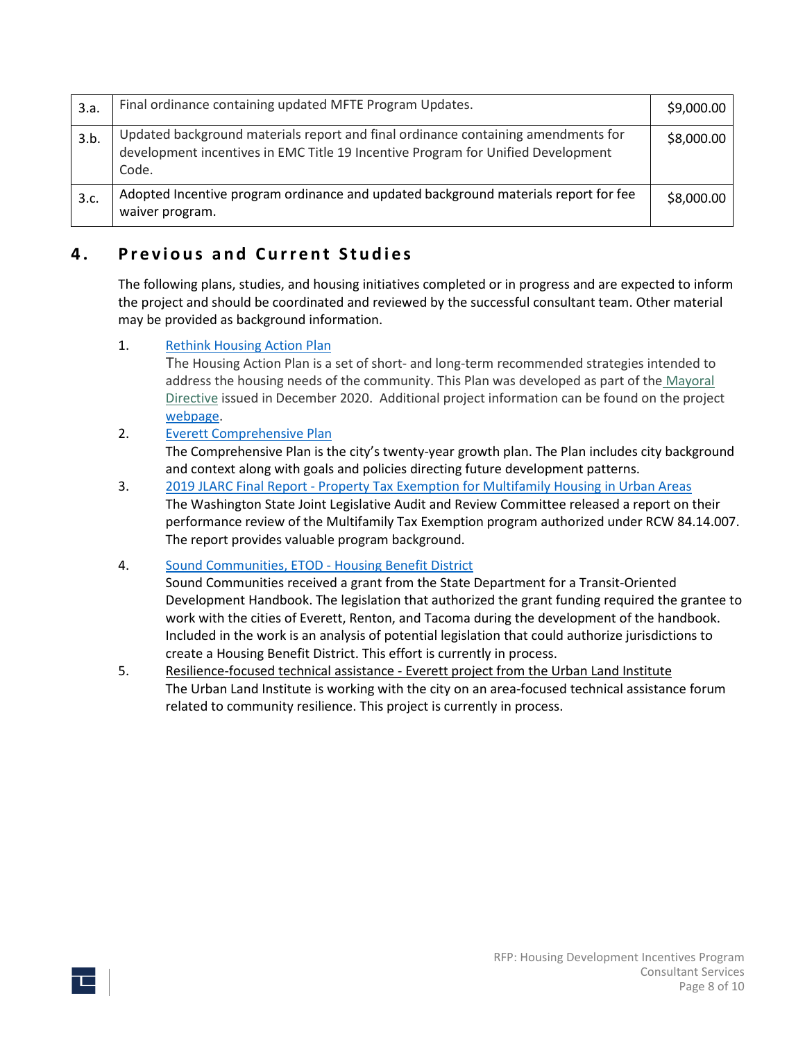| 3.a. | Final ordinance containing updated MFTE Program Updates.                                                                                                                       | \$9,000.00 |
|------|--------------------------------------------------------------------------------------------------------------------------------------------------------------------------------|------------|
| 3.b. | Updated background materials report and final ordinance containing amendments for<br>development incentives in EMC Title 19 Incentive Program for Unified Development<br>Code. | \$8,000.00 |
| 3.c. | Adopted Incentive program ordinance and updated background materials report for fee<br>waiver program.                                                                         | \$8,000.00 |

### **4 . Previous and Current Studies**

The following plans, studies, and housing initiatives completed or in progress and are expected to inform the project and should be coordinated and reviewed by the successful consultant team. Other material may be provided as background information.

1. [Rethink Housing Action Plan](https://www.everettwa.gov/DocumentCenter/View/29545/Rethink-Housing-Action-Plan_SD1-Updated-10072021-Final?bidId=)

The Housing Action Plan is a set of short- and long-term recommended strategies intended to address the housing needs of the community. This Plan was developed as part of the [Mayoral](https://www.everettwa.gov/DocumentCenter/View/26802)  [Directive](https://www.everettwa.gov/DocumentCenter/View/26802) issued in December 2020. Additional project information can be found on the project [webpage.](https://www.everettwa.gov/2536/Rethink-Housing)

2. [Everett Comprehensive Plan](https://www.everettwa.gov/1395/2035-Comprehensive-Plan)

The Comprehensive Plan is the city's twenty-year growth plan. The Plan includes city background and context along with goals and policies directing future development patterns.

- 3. [2019 JLARC Final Report Property Tax Exemption for Multifamily Housing in Urban Areas](https://leg.wa.gov/jlarc/taxReports/2019/MFTE/f_ii/default.html) The Washington State Joint Legislative Audit and Review Committee released a report on their performance review of the Multifamily Tax Exemption program authorized under RCW 84.14.007. The report provides valuable program background.
- 4. [Sound Communities, ETOD Housing Benefit District](https://soundcommunitiesps.org/hbd/)

Sound Communities received a grant from the State Department for a Transit-Oriented Development Handbook. The legislation that authorized the grant funding required the grantee to work with the cities of Everett, Renton, and Tacoma during the development of the handbook. Included in the work is an analysis of potential legislation that could authorize jurisdictions to create a Housing Benefit District. This effort is currently in process.

5. Resilience-focused technical assistance - Everett project from the Urban Land Institute The Urban Land Institute is working with the city on an area-focused technical assistance forum related to community resilience. This project is currently in process.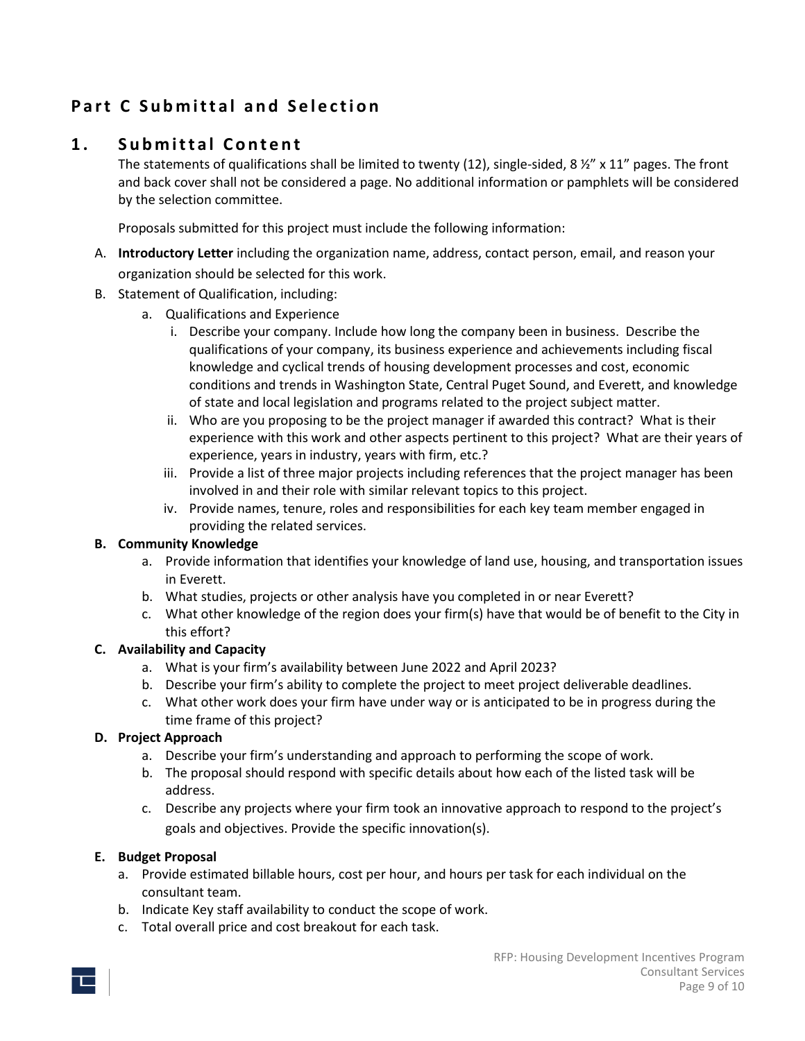# **Part C Submittal and Selection**

### **1 . Submittal Content**

The statements of qualifications shall be limited to twenty (12), single-sided, 8  $\frac{1}{2}$  x 11" pages. The front and back cover shall not be considered a page. No additional information or pamphlets will be considered by the selection committee.

Proposals submitted for this project must include the following information:

- A. **Introductory Letter** including the organization name, address, contact person, email, and reason your organization should be selected for this work.
- B. Statement of Qualification, including:
	- a. Qualifications and Experience
		- i. Describe your company. Include how long the company been in business. Describe the qualifications of your company, its business experience and achievements including fiscal knowledge and cyclical trends of housing development processes and cost, economic conditions and trends in Washington State, Central Puget Sound, and Everett, and knowledge of state and local legislation and programs related to the project subject matter.
		- ii. Who are you proposing to be the project manager if awarded this contract? What is their experience with this work and other aspects pertinent to this project? What are their years of experience, years in industry, years with firm, etc.?
		- iii. Provide a list of three major projects including references that the project manager has been involved in and their role with similar relevant topics to this project.
		- iv. Provide names, tenure, roles and responsibilities for each key team member engaged in providing the related services.

### **B. Community Knowledge**

- a. Provide information that identifies your knowledge of land use, housing, and transportation issues in Everett.
- b. What studies, projects or other analysis have you completed in or near Everett?
- c. What other knowledge of the region does your firm(s) have that would be of benefit to the City in this effort?

### **C. Availability and Capacity**

- a. What is your firm's availability between June 2022 and April 2023?
- b. Describe your firm's ability to complete the project to meet project deliverable deadlines.
- c. What other work does your firm have under way or is anticipated to be in progress during the time frame of this project?

### **D. Project Approach**

- a. Describe your firm's understanding and approach to performing the scope of work.
- b. The proposal should respond with specific details about how each of the listed task will be address.
- c. Describe any projects where your firm took an innovative approach to respond to the project's goals and objectives. Provide the specific innovation(s).

#### **E. Budget Proposal**

- a. Provide estimated billable hours, cost per hour, and hours per task for each individual on the consultant team.
- b. Indicate Key staff availability to conduct the scope of work.
- c. Total overall price and cost breakout for each task.